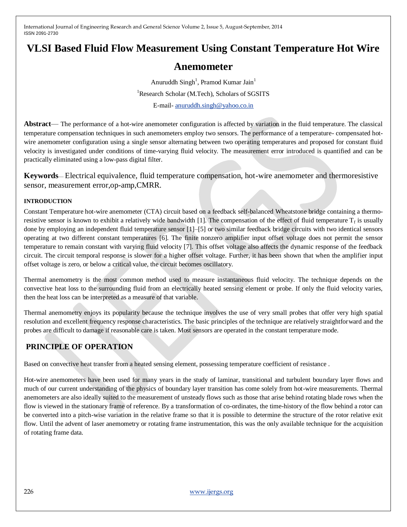# **VLSI Based Fluid Flow Measurement Using Constant Temperature Hot Wire**

# **Anemometer**

Anuruddh  $Singh<sup>1</sup>$ , Pramod Kumar Jain<sup>1</sup> <sup>1</sup>Research Scholar (M.Tech), Scholars of SGSITS E-mail- [anuruddh.singh@yahoo.co.in](mailto:anuruddh.singh@yahoo.co.in)

**Abstract**— The performance of a hot-wire anemometer configuration is affected by variation in the fluid temperature. The classical temperature compensation techniques in such anemometers employ two sensors. The performance of a temperature- compensated hotwire anemometer configuration using a single sensor alternating between two operating temperatures and proposed for constant fluid velocity is investigated under conditions of time-varying fluid velocity. The measurement error introduced is quantified and can be practically eliminated using a low-pass digital filter.

**Keywords**— Electrical equivalence, fluid temperature compensation, hot-wire anemometer and thermoresistive sensor, measurement error,op-amp,CMRR.

### **INTRODUCTION**

Constant Temperature hot-wire anemometer (CTA) circuit based on a feedback self-balanced Wheatstone bridge containing a thermoresistive sensor is known to exhibit a relatively wide bandwidth [1]. The compensation of the effect of fluid temperature  $T_f$  is usually done by employing an independent fluid temperature sensor [1]–[5] or two similar feedback bridge circuits with two identical sensors operating at two different constant temperatures [6]. The finite nonzero amplifier input offset voltage does not permit the sensor temperature to remain constant with varying fluid velocity [7]. This offset voltage also affects the dynamic response of the feedback circuit. The circuit temporal response is slower for a higher offset voltage. Further, it has been shown that when the amplifier input offset voltage is zero, or below a critical value, the circuit becomes oscillatory.

Thermal anemometry is the most common method used to measure instantaneous fluid velocity. The technique depends on the convective heat loss to the surrounding fluid from an electrically heated sensing element or probe. If only the fluid velocity varies, then the heat loss can be interpreted as a measure of that variable.

Thermal anemometry enjoys its popularity because the technique involves the use of very small probes that offer very high spatial resolution and excellent frequency response characteristics. The basic principles of the technique are relatively straightforward and the probes are difficult to damage if reasonable care is taken. Most sensors are operated in the constant temperature mode.

# **PRINCIPLE OF OPERATION**

Based on convective heat transfer from a heated sensing element, possessing temperature coefficient of resistance .

Hot-wire anemometers have been used for many years in the study of laminar, transitional and turbulent boundary layer flows and much of our current understanding of the physics of boundary layer transition has come solely from hot-wire measurements. Thermal anemometers are also ideally suited to the measurement of unsteady flows such as those that arise behind rotating blade rows when the flow is viewed in the stationary frame of reference. By a transformation of co-ordinates, the time-history of the flow behind a rotor can be converted into a pitch-wise variation in the relative frame so that it is possible to determine the structure of the rotor relative exit flow. Until the advent of laser anemometry or rotating frame instrumentation, this was the only available technique for the acquisition of rotating frame data.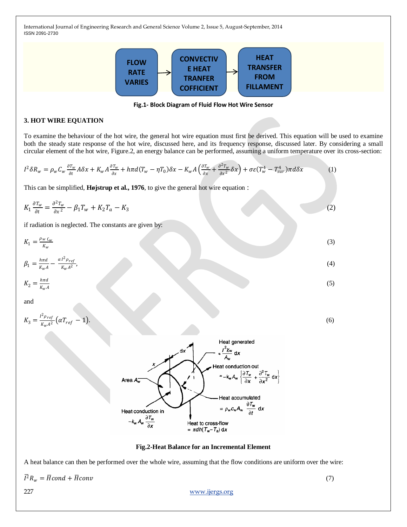

**Fig.1- Block Diagram of Fluid Flow Hot Wire Sensor**

## **3. HOT WIRE EQUATION**

To examine the behaviour of the hot wire, the general hot wire equation must first be derived. This equation will be used to examine both the steady state response of the hot wire, discussed here, and its frequency response, discussed later. By considering a small circular element of the hot wire, Figure.2, an energy balance can be performed, assuming a uniform temperature over its cross-section:

$$
I^2 \delta R_w = \rho_w C_w \frac{\partial T_w}{\partial t} A \delta x + K_w A \frac{\partial T_w}{\partial x} + h \pi d (T_w - \eta T_0) \delta x - K_w A \left( \frac{\partial T_w}{\partial x} + \frac{\partial^2 T_w}{\partial x^2} \delta x \right) + \sigma \varepsilon (T_w^4 - T_{sur}^4) \pi d \delta x \tag{1}
$$

This can be simplified, **Højstrup et al., 1976**, to give the general hot wire equation :

Area A.

Heat conduction in  $\frac{\partial \mathcal{T}_{w}}{\partial x}$  $-k_w A_w$ 

$$
K_1 \frac{\partial T_w}{\partial t} = \frac{\partial^2 T_w}{\partial x^2} - \beta_1 T_w + K_2 T_a - K_3
$$
  
if radiation is neglected. The constants are given by:  

$$
K_1 = \frac{\rho_w c_w}{K_w}
$$
  

$$
\beta_1 = \frac{h\pi d}{K_w A} - \frac{\alpha I^2 \rho_{ref}}{K_w A^2},
$$
  

$$
K_2 = \frac{h\pi d}{K_w A}
$$
  
(3)

and

$$
K_3 = \frac{l^2 \rho_{ref}}{K_w A^2} \left( \alpha T_{ref} - 1 \right). \tag{6}
$$



**Fig.2-Heat Balance for an Incremental Element**

Heat to cross-flow  $= \pi dh(T_w - T_a) dx$ 

A heat balance can then be performed over the whole wire, assuming that the flow conditions are uniform over the wire:

 $\overline{I}^2 R_w = \overline{H} \text{cond} + \overline{H} \text{conv}$  (7)

227 [www.ijergs.org](http://www.ijergs.org/)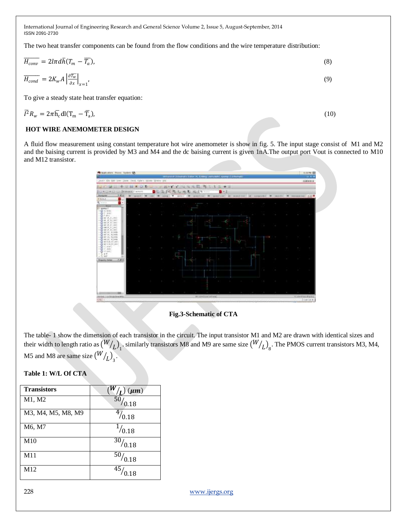The two heat transfer components can be found from the flow conditions and the wire temperature distribution:

$$
\overline{H_{conv}} = 2\text{Im}d\overline{h}(T_m - \overline{T_a}),
$$
\n(8)  
\n
$$
\overline{H_{cond}} = 2K_w A \left| \frac{\partial \overline{T_w}}{\partial x} \right|_{x=1},
$$
\n(9)  
\nTo give a steady state heat transfer equation:

o give a steady state heat transfer equation:

$$
\overline{I}^2 R_w = 2\pi \overline{h_c} \, dl (T_m - \overline{T}_a),\tag{10}
$$

## **HOT WIRE ANEMOMETER DESIGN**

A fluid flow measurement using constant temperature hot wire anemometer is show in fig. 5. The input stage consist of M1 and M2 and the baising current is provided by M3 and M4 and the dc baising current is given 1nA.The output port Vout is connected to M10 and M12 transistor.



**Fig.3-Schematic of CTA**

The table- 1 show the dimension of each transistor in the circuit. The input transistor M1 and M2 are drawn with identical sizes and their width to length ratio as  $(W/L)_1$ . similarly transistors M8 and M9 are same size  $(W/L)_8$ . The PMOS current transistors M3, M4, M5 and M8 are same size  $(W/L)_{3}$ .

# **Table 1: W/L Of CTA**

| <b>Transistors</b> | $(\mu m)$   |
|--------------------|-------------|
| M1, M2             | 0.18        |
| M3, M4, M5, M8, M9 | 47<br>0.18  |
| M6, M7             | $^{1/0.18}$ |
| M10                | 30/0.18     |
| M11                | 50/0.18     |
| M12                | 45<br>.18   |

228 [www.ijergs.org](http://www.ijergs.org/)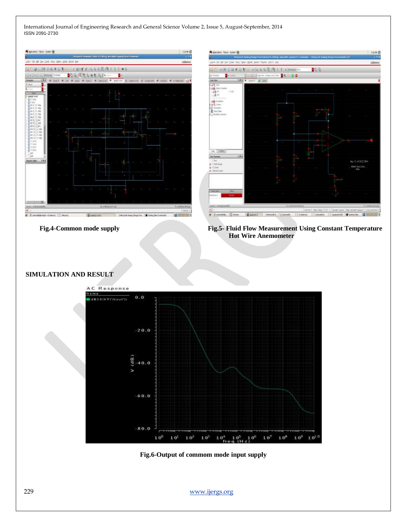



 **Fig.4-Common mode supply Fig.5- Fluid Flow Measurement Using Constant Temperature Hot Wire Anemometer**

### **SIMULATION AND RESULT**



**Fig.6-Output of commom mode input supply**

229 [www.ijergs.org](http://www.ijergs.org/)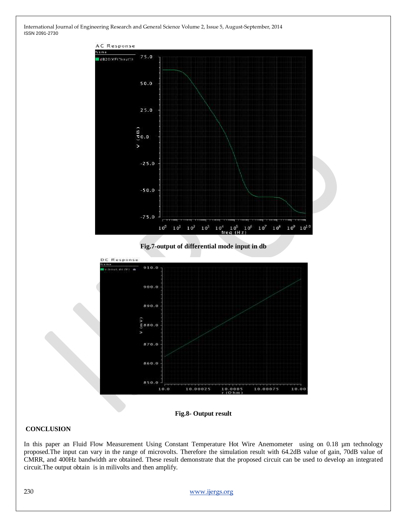





**Fig.8- Output result**

#### **CONCLUSION**

In this paper an Fluid Flow Measurement Using Constant Temperature Hot Wire Anemometer using on 0.18 µm technology proposed.The input can vary in the range of microvolts. Therefore the simulation result with 64.2dB value of gain, 70dB value of CMRR, and 400Hz bandwidth are obtained. These result demonstrate that the proposed circuit can be used to develop an integrated circuit.The output obtain is in milivolts and then amplify.